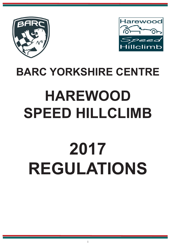



# **BARC YORKSHIRE CENTRE**

# **HAREWOOD SPEED HILLCLIMB**

# **2017 REGULATIONS**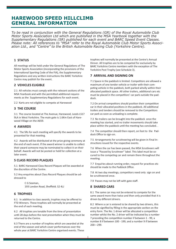# **HAREWOOD SPEED HILLCLIMB GENERAL INFORMATION**

*To be read in conjunction with the General Regulations (GR) of the Royal Automobile Club Motor Sports Association Ltd which are published in the MSA Yearbook together with the Supplementary Regulations (SR) published for each event and BARC Speed Event Classes. Please note: All references to "MSA" refer to the Royal Automobile Club Motor Sports Association Ltd., and "Centre" to the British Automobile Racing Club (Yorkshire Centre).* 

#### **1 STATUS**

All meetings will be held under the General Regulations of The Motor Sports Association (incorporating the provisions of the International Sporting Code of the FIA), the Supplementary Regulations and any written instructions the BARC Yorkshire Centre may publish for the event.

#### **2 VEHICLES ELIGIBLE**

2.1 All vehicles must comply with the relevant sections of the MSA Yearbook and with the permitted additional requirements as the Supplementary Regulations for each event.

2.2 Karts are not eligible to compete at Harewood

#### **3 THE COURSE**

3.1 The course located at The Avenue, Harewood, Leeds LS17 9LA in West Yorkshire. The main gate is 1.6Km East of Harewood Village on the A659.

#### **4 AWARDS**

4.1 The SRs for each meeting will specify the awards to be presented for that meeting.

4.2 Awards will be distributed at the prize giving ceremony at the end of each event. If the award winner is unable to collect their award someone may be nominated to collect it on their behalf. Awards will not be posted or held for collection at a later event.

#### **5 CLASS RECORD PLAQUES**

5.1 BARC Harewood Class Record Plaques will be awarded at the discretion of the Centre.

5.2 Any enquiries about Class Record Plaques should be addressed to

> C G Seaman, 193 London Road, Sheffield. S2 4LJ

#### **6 TROPHIES**

6.1 In addition to class awards, trophies may be offered to FTD Winners. These trophies will normally be presented at the end of each meeting.

6.2 All trophies are tenable from the time of presentation until 28 days before the next presentation when they must be returned to the Centre.

6.3 There are a number of trophies which are awarded at the end of the season and which cover performances over the whole year at BARC Yorkshire Centre organised events. These trophies will normally be presented at the Centre's Annual Dinner. All trophies are to be competed for exclusively by BARC Yorkshire Centre members with the exception of The Yorkshire Post Trophy (see Schedule 3).

#### **7 ARRIVAL AND SIGNING ON**

7.1 Space in the paddock is limited. Competitors are allowed a maximum of one tender vehicle or trailer with their competing vehicle in the paddock, both parked wholly within their allocated paddock space. All other trailers, additional cars etc must be placed in the competitors' car park outside the paddock.

7.2 On arrival competitors should position their competition car in their allocated positions in the paddock. All additional trailers and tenders should be removed to the Competitors car park as soon as unloading is complete.

7.3 No trailers can be brought into the paddock once the meeting has started, and no trailer movements should take place within the paddock until the meeting has concluded..

7.4 The competitor should then report, on foot to the Paddock Office to sign-on.

7.5 Arrangements for scrutineering will be given in Final Instructions issued for the respective events.

7.6 When the car has been passed, the MSA Scrutineers will issue a "Passed by Scrutineer" label. This label must be secured to the competing car and remain there throughout the meeting.

7.7 Enquiries about running order, request for practices etc should be made to the Paddock Office.

7.8 At two day meetings, competitors need only sign on and be scrutineered once.

7.9 Passes may not be left with gate staff.

#### **8 SHARED CARS**

8.1 The same car may not be entered to compete for the same award more than twice and then only provided that it is driven by different drivers.

8.2 Where a car is entered to be shared by two drivers, this must be signified by filling in the appropriate section on the entry form. The No. 1 driver will be allocated a competition number whilst the No. 2 driver will be indicated by a number 7 preceding the competition number if between 1 - 99, a number 8 if between 100 - 199, and a number 9 if between 200—299.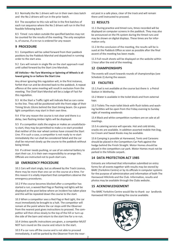8.3 Normally the No 1 drivers will run in their own class batch and the No 2 drivers will run in the prior batch.

8.4 The exception to this rule will be in the first batches of each run sequence where the No 2 drivers will run in the first feasible following batch.

8.5 Timed runs taken outside the specified batches may not be counted for the results of the meeting. The only exception is, of course, if a re-run is ordered for any reason

#### **9 PROCEDURE**

9.1 Competitors will be called forward from their paddock positions by the Paddock Marshal and dispatched in running order to the start area.

9.2 Cars will remain in single file on the start approach road until called forward by the Start Line Marshals.

#### **All Vehicles—No Tyre Warming or Spinning of Wheels is allowed going to or before the Start Line**

Any driver ignoring this regulation will, in the first instance, forfeit that run and be directed back to the paddock. A repeat offence at the same meeting will result in exclusion from the meeting. The Chief Start Marshal will be a Judge of Fact for this regulation.

9.3 At the Start a Traffic Light will indicate Red as cars come to the line. They will be positioned with the front edge of their Timing Struts 10cms behind the Start timing beam. On a green light competitors may start in their own time.

9.4 If for any reason the course is not clear and there is a delay, two flashing Amber lights will be displayed.

9.5 If a competitor stalls the engine or makes an unsatisfactory start, they may be permitted to make a re-start provided that neither of the rear wheel centres have crossed the Start Line. If in such a case, a competitor is not ready to re-start immediately the run shall be considered failed and the car shall be returned slowly up the course to the paddock without being timed.

9.6 If a driver needs pushing, or use of an external battery to start their car, it is their own responsibility to arrange this. Officials are instructed not to push start cars.

#### **10 EMERGENCY PROCEDURE**

10.1 Cars will start singly, but as allowed by the Track Licence, there may be more than one car on the course at a time. For this reason it is vitally important that competitors observe the emergency procedures.

10.2 If the course becomes blocked after a competitor has started a run, a waved Red Flag or flashing red lights will be displayed at the post below where an incident has taken place and this will be repeated down the course to the start.

10.3 When a competitor sees a Red Flag or Red Light, the car must immediately be brought to a halt. The competitor will remain at the point where the car stops until the Observer from the nearest post gives instructions to proceed. The competitor will then drive slowly to the top of the hill or turn up the side of the barn and return to the start line for a re-run.

10.4 Unless specific instructions are given, a competitor MUST NOT turn round on the course and return to the start.

10.5 lf a car runs off the course and is not able to proceed immediately, it will be parked by the Observer from the nearest post in a safe place, clear of the track and will remain there until instructed to proceed.

#### **11 RESULTS**

11.1 During practice and timed runs, times recorded will be displayed on computer screens in the paddock. They may also be announced on the PA system during the timed runs and may be shown on digital displays. These times are for information only.

11.2 At the conclusion of the meeting, the results will be issued at the Paddock Office as soon as possible after the final ascent of the meeting has been made.

11.3 Full result sheets will be displayed on the website within 1 hour after the end of the meeting.

#### **12 CHAMPIONSHIPS**

The events will count towards rounds of championships (see Schedule 2) during the season.

#### **13 FACILITIES**

13.1.Fuel is not available at the course but there is a Petrol Station in Wetherby.

13.2 Water is available in the toilet block and from external taps.

13.3 Toilets The main toilet block with flush toilets and washing facilities will be open from the Friday evening to Sunday night of meeting weekends

13.4 Black and white competition numbers are on sale at all meetings.

13.5 A catering service will operate. Hot and cold drinks, snacks etc are available. In addition assorted mobile Hot Dog, Ice Cream and Sweet Kiosks may be available.

13.6 Camping is possible at Harewood, Tents and Caravans should be placed in the Competitors Car Park against the hedge behind the Finish Straight. Motor Homes should be placed in the competitors car park. Motor Homes must not be parked in the hillside carpark.

#### **14 DATA PROTECTION ACT 1985**

Entrants are informed that information submitted on entry forms for all events together with results may be stored by BARC (Yorkshire Centre) or by its officials in computer systems for the purpose of administration and information of both The Harewood Hillclimb and the Club. Information, results and photos may be available through the Clubs website.

#### **15 ACKNOWLEDGEMENT**

The BARC Yorkshire Centre would like to thank our landlords Harewood Hill Ltd for making the course available.

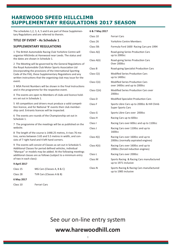# **HAREWOOD SPEED HILLCLIMB SUPPLEMENTARY REGULATIONS 2017 SEASON**

The schedules 1,2, 3, 4, 5 and 6 are part of these Supplementary Regulations and are referred to therein.

#### **TITLE OF EVENT - As Schedule 1**

#### **SUPPLEMENTARY REGULATIONS**

1 The British Automobile Racing Club Yorkshire Centre will organise Hillclimbs at Harewood near Leeds. The status and the dates are shown in Schedule 1.

2 The Meeting will be governed by the General Regulations of the Royal Automobile Club Motor Sports Association Ltd (incorporating the provisions of the International Sporting Code of the FIA), these Supplementary Regulations and any written instructions that the organising club may issue for the event.

3 MSA Permit Numbers will be shown in the Final Instructions and in the programme for the respective event.

4 The events are open to Members of clubs and licence holders set out in Schedule 1.

5 All competitors and drivers must produce a valid competition licence, and for National 'B' events their club membership card. Entrants licences will be inspected.

6 The events are rounds of the Championship set out in Schedule 1.

7 The programme of the meetings will be as published on the website.

8 The length of the course is 1448.25 metres, it rises 76 metres, varies between 3.65 and 5.5 metres in width, and consists of 7 right hand and 4 left hand corners.

9 The events will consist of Classes as set out in Schedule 5. Additional Classes for period defined vehicles, individual "Marque" or models may be added. At the following meetings additional classes are as follows (subject to a minimum entry of two in each class):

#### **9 April 2017**

Class 15 MG Cars (Classes A, B & C)

Class 28 TVR Cars (Classes A & B)

#### **6 May 2017**

Class 10 Ferrari Cars

#### **6 & 7 May 2017**

| Class 10     | Ferrari Cars                                                             |
|--------------|--------------------------------------------------------------------------|
| Class 26     | <b>Yorkshire Centre Members</b>                                          |
| Class 5B:    | Formula Ford 1600 Racing Cars pre 1994                                   |
| Class A(i)   | Road-going Series Production Cars<br>up to 2000cc                        |
| Class A(ii)  | Road-going Series Production Cars<br>Over 2000cc                         |
| Class B      | Road-going Specialist Production Cars                                    |
| Class C(i)   | <b>Modified Series Production Cars</b><br>up to 1400cc                   |
| Class C(ii)  | <b>Modified Series Production Cars</b><br>over 1400cc and up to 2000cc   |
| Class C(iii) | Modified Series Production Cars over<br>2000 <sub>cc</sub>               |
| Class D      | <b>Modified Specialist Production Cars</b>                               |
| Class F      | Sports Libre Cars up to 2000cc & Hill Climb<br><b>Super Sports Cars</b>  |
| Class G      | Sports Libre Cars over 2000cc                                            |
| Class H      | Racing Cars up to 600cc                                                  |
| Class I      | Racing Cars over 600cc and up to 1100cc                                  |
| Class J      | Racing Cars over 1100cc and up to<br>1600cc                              |
| Class K(i)   | Racing Cars over 1600cc and up to<br>2000cc (normally aspirated engines) |
| Class K(ii)  | Racing Cars over 1600cc and up to<br>2000cc (forced induction engines)   |
| Class L      | Racing Cars over 2000cc                                                  |
| Class M      | Sports Racing & Racing Cars manufactured<br>up to 1971 inclusive         |
| Class N      | Sports Racing & Racing Cars manufactured<br>up to 1985 inclusive         |

See our on-line entry system

# **www.harewoodhill.com**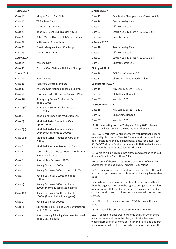| Morgan Sports Car Club                                                   |  |
|--------------------------------------------------------------------------|--|
| <b>TR Register Cars</b>                                                  |  |
| Scimitar & Sabre Cars                                                    |  |
| Bentley Drivers Club (Classes A & B)                                     |  |
| Aston Martin Owners Club Speed Series                                    |  |
| 500 Owners Association                                                   |  |
| <b>Classic Marques Speed Challenge</b>                                   |  |
| Jaguar Drivers Club                                                      |  |
|                                                                          |  |
| Porsche Cars                                                             |  |
| Porsche Club National Hillclimb Champ.                                   |  |
|                                                                          |  |
| Porsche Cars                                                             |  |
| <b>Yorkshire Centre Members</b>                                          |  |
| Porsche Club National Hillclimb Champ.                                   |  |
| Formula Ford 1600 Racing Cars pre 1994                                   |  |
| Road-going Series Production Cars<br>up to 2000cc                        |  |
| Road-going Series Production Cars<br>Over 2000cc                         |  |
| Road-going Specialist Production Cars                                    |  |
| <b>Modified Series Production Cars</b><br>Up to 1400cc                   |  |
| <b>Modified Series Production Cars</b><br>Over 1400cc and up to 2000cc   |  |
| <b>Modified Series Production Cars over</b><br>2000cc                    |  |
| Modified Specialist Production Cars                                      |  |
| Sports Libre Cars up to 2000cc & Hill Climb<br><b>Super Sports Cars</b>  |  |
| Sports Libre Cars over 2000cc                                            |  |
| Racing Cars up to 600cc                                                  |  |
| Racing Cars over 600cc and up to 1100cc                                  |  |
| Racing Cars over 1100cc and up to<br>1600cc                              |  |
| Racing Cars over 1600cc and up to<br>2000cc (normally aspirated engines) |  |
| Racing Cars over 1600cc and up to<br>2000cc (forced induction engines)   |  |
| Racing Cars over 2000cc                                                  |  |
| Sports Racing & Racing Cars manufactured<br>up to 1971 inclusive         |  |
| Sports Racing & Racing Cars manufactured<br>up to 1985 inclusive         |  |
|                                                                          |  |

#### **5 August 2017**

| Class 12                                                                                                                                                                                                                                                                 | Paul Matty Championship (Classes A & B)                                                                                                                                                                                                                                                                           |  |
|--------------------------------------------------------------------------------------------------------------------------------------------------------------------------------------------------------------------------------------------------------------------------|-------------------------------------------------------------------------------------------------------------------------------------------------------------------------------------------------------------------------------------------------------------------------------------------------------------------|--|
| Class 18                                                                                                                                                                                                                                                                 | <b>Austin Healey Cars</b>                                                                                                                                                                                                                                                                                         |  |
| Class 22                                                                                                                                                                                                                                                                 | Alfa Romeo Cars                                                                                                                                                                                                                                                                                                   |  |
| Class 23                                                                                                                                                                                                                                                                 | Lotus 7 Cars (Classes A, B, C, D, E & F)                                                                                                                                                                                                                                                                          |  |
| Class 24                                                                                                                                                                                                                                                                 | <b>Bugatti Classic Cars</b>                                                                                                                                                                                                                                                                                       |  |
| <b>6 August 2017</b>                                                                                                                                                                                                                                                     |                                                                                                                                                                                                                                                                                                                   |  |
| Class 18                                                                                                                                                                                                                                                                 | <b>Austin Healey Cars</b>                                                                                                                                                                                                                                                                                         |  |
| Class 22                                                                                                                                                                                                                                                                 | Alfa Romeo Cars                                                                                                                                                                                                                                                                                                   |  |
| Class 23                                                                                                                                                                                                                                                                 | Lotus 7 Cars (Classes A, B, C, D, E & F)                                                                                                                                                                                                                                                                          |  |
| Class 24                                                                                                                                                                                                                                                                 | <b>Bugatti Classic Cars</b>                                                                                                                                                                                                                                                                                       |  |
| <b>27 August 2017</b>                                                                                                                                                                                                                                                    |                                                                                                                                                                                                                                                                                                                   |  |
| Class 28                                                                                                                                                                                                                                                                 | TVR Cars (Classes A & B)                                                                                                                                                                                                                                                                                          |  |
| Class 38                                                                                                                                                                                                                                                                 | <b>Classic Marques Speed Challenge</b>                                                                                                                                                                                                                                                                            |  |
| 16 September 2017                                                                                                                                                                                                                                                        |                                                                                                                                                                                                                                                                                                                   |  |
| Class 15                                                                                                                                                                                                                                                                 | MG Cars (Classes A, B & C)                                                                                                                                                                                                                                                                                        |  |
| Class 32                                                                                                                                                                                                                                                                 | Club Alpine Renault                                                                                                                                                                                                                                                                                               |  |
| Westfield SCC<br>Class 37                                                                                                                                                                                                                                                |                                                                                                                                                                                                                                                                                                                   |  |
| 17 September 2017                                                                                                                                                                                                                                                        |                                                                                                                                                                                                                                                                                                                   |  |
| Class 15                                                                                                                                                                                                                                                                 | MG Cars (Classes A, B & C)                                                                                                                                                                                                                                                                                        |  |
| Class 32                                                                                                                                                                                                                                                                 | Club Alpine Renault                                                                                                                                                                                                                                                                                               |  |
| Class 37                                                                                                                                                                                                                                                                 | Westfield SCC                                                                                                                                                                                                                                                                                                     |  |
|                                                                                                                                                                                                                                                                          | 11 At the meetings on the 7 May and 2 July 2017, classes<br>1A-6D will not run, with the exception of class 5B.                                                                                                                                                                                                   |  |
|                                                                                                                                                                                                                                                                          | 11.1 BARC Yorkshire Centre members with National B licenc-<br>es are eligible to enter Class 26. This class will be scored on a<br>points basis using the published bogey times for classes 1A-<br>5E. BARC Yorkshire Centre members with National A licences<br>will run in the appropriate Class for their car. |  |
| down in Schedule 5 and these SR's.                                                                                                                                                                                                                                       | 12 Vehicles will be divided into classes and categories as laid                                                                                                                                                                                                                                                   |  |
|                                                                                                                                                                                                                                                                          | Note: Some of these classes impose conditions of eligibility<br>additional to the basic MSA Technical Regulations.                                                                                                                                                                                                |  |
| class.                                                                                                                                                                                                                                                                   | 12.1 Once a competitor has entered a specific class, this will<br>not be changed unless the car is found to be ineligible for that                                                                                                                                                                                |  |
| sented.                                                                                                                                                                                                                                                                  | 12.2 Where in any class the number of entries is less than 2<br>then the organisers reserve the right to amalgamate the class<br>as appropriate. If it is not appropriate to amalgamate and a<br>class is run with less than 2 entries, an award will not be pre-                                                 |  |
| tions.                                                                                                                                                                                                                                                                   | 12.3 All vehicles must comply with MSA Technical Regula-                                                                                                                                                                                                                                                          |  |
|                                                                                                                                                                                                                                                                          | 13 Awards will be presented as set out in Schedule 4.                                                                                                                                                                                                                                                             |  |
| 13.1 A second-in-class award will only be given when there<br>are six or more entries in the class, a third-in-class award<br>where there are ten or more entries in the class, and a fourth-<br>in-class award where there are sixteen or more entries in the<br>class. |                                                                                                                                                                                                                                                                                                                   |  |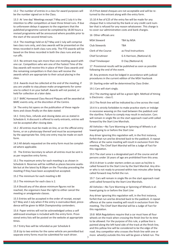13.2 The number of entries in a class for award purposes will be the number signed on in the Class.

13.3 At 'one day' Meetings except 7 May and 2 July it is the intention to offer competitors at least three timed runs. If due to unforeseen delays it appears to the organisers that the published programme cannot be completed by 18.00 hours a revised programme will be announced where possible prior to the start of the second timed runs.

13.4 The meetings held on 6/7 May and 2 July will comprise two class runs only, and class awards will be presented on the times recorded in both class runs only. The FTD awards will be based on the times recorded in both the class runs and any run offs.

13.5 No entrant may win more than one meeting award with one car. Competitors who win one of the Fastest Time of the Day awards will receive this in place of their Class awards and the remaining competitors in that class will receive the awards which are appropriate to their actual placing in the class.

13.6 Awards must be collected at the end of the meeting, if you are unable to stay please make arrangements for someone to collect it on your behalf. Awards will not posted, or held for collection at a later date.

13.7 BARC Harewood Class Record Plaques will be awarded at BARC events only, at the discretion of the Centre.

14 The entry list opens on the publication of these regulations and closes finally on the date stated.

14.1 Entry fees, refunds and closing dates are as stated in Schedule 6. A discount is offered to early entrants, entries will not be accepted after closing date.

14.2 All entries must be made on-line, or on the official entry forms, or on a photocopy thereof and must be accompanied by the appropriate fee. Only one entry may be made on each form.

14.3 All details requested on the entry form must be completed where applicable.

15 The Entries Secretary to whom all entries must be sent is as per respective entry forms.

15.1 The maximum entry for each meeting is as shown in Schedule 6. Reserves will be notified as places become available but at the latest by 8.00pm on the Thursday preceding the meeting if they have been accepted/not accepted.

15.2 The minimum for each meeting is 80

15.3 The minimum for each class is 2.

15.4 Should any of the above minimum figures not be reached, the organisers have the right to either cancel the meeting or amalgamate classes.

15.5 Entries will be accepted in the order of receipt, except 6/7 May and 2 July when if the entry is oversubscribed, precedence will be given to MSA Championship contenders.

15.6 Paper entries will not be acknowledged unless a self addressed envelope is included with the entry form. Provisional entry lists will be posted on the website at appropriate times.

15.7 Entry fees will be refunded as per Schedule 6

15.8 Up to two entries for the same vehicle are permitted but separate entry forms must be submitted for each driver.

15.9 Post dated cheques are not acceptable and will be returned to the entrant along with the entry form.

15.10 A fee of £25 of the entry fee will be made for any cheque that is returned by the bank or any credit card number that is refused for any reason whatsoever. This charge is to cover our administration costs and bank charges.

16 Other officials are:

| <b>MSA Steward</b>      | TBA by MSA                 |
|-------------------------|----------------------------|
| Club Stewards           | TRA                        |
| Clerk of the Course     | as Final Instructions      |
| <b>Chief Scrutineer</b> | G A Harrison, (National A) |
| Chief Timekeeper        | D Clay (National A)        |

17 Provisional results will be published as soon as possible following the end of the event.

18 Any protests must be lodged in accordance with judicial procedures in the current edition of the MSA Yearbook

19 Starting order will be determined by Class Order.

19.1 Cars will start singly.

19.2 The starting signal will be a green light. Method of timing is Electronic - class E.

19.3 The finish line will be indicated by a line across the road.

19.4 It is strictly forbidden to make practice starts or indulge in excessive weaving on the road between the paddock and the startline. Failure to comply may result in exclusion. Cars will remain in single file on the start approach road until called forward by the Start Line Marshals.

All Vehicles—No Tyre Warming or Spinning of Wheels is allowed going to or before the Start Line

Any driver ignoring this regulation will, in the first instance, forfeit that run and be directed back to the paddock. A repeat offence at the same meeting will result in exclusion from the meeting. The Chief Start Marshal will be a Judge of Fact for this regulation.

19.5 The start area is a designated part of the course and all persons under 16 years of age are prohibited from this area.

19.6 A driver is under starters orders as soon as he/she is called forward to the Start Line by the Start Marshal. Any driver who is not ready to proceed within two minutes after being called forward may forfeit the run.

19.7 Cars will remain in single file on the start approach road until called forward by the Start Line Marshals.

All Vehicles—No Tyre Warming or Spinning of Wheels is allowed going to or before the Start Line

Any driver ignoring this regulation will, in the first instance, forfeit that run and be directed back to the paddock. A repeat offence at the same meeting will result in exclusion from the meeting. The Chief Start Marshal will be a Judge of Fact for this regulation.

19.8 MSA Regulations require that a car must have all four wheels on the track when crossing the finish line for its time to be allowed. For the purpose of this rule, a yellow line is painted along the left hand side of the track at the finish line, and this yellow line will be considered to be the edge of the road. Any competitor who crosses the finish line with one or more wheel(s) outside this line will be given a failed run. The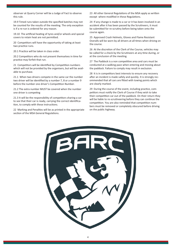observer at Quarry Corner will be a Judge of Fact to observe this rule.

19.9 Timed runs taken outside the specified batches may not be counted for the results of the meeting. The only exception is if a re-run is ordered for any reason.

19.10 The artificial heating of tyres and/or wheels and special covers to retain heat are not permitted.

20 Competitors will have the opportunity of taking at least two practice runs.

20.1 Practice will be taken in class order.

20.2 Competitors who do not present themselves in time for practice may forfeit that run.

21 Competitors will be identified by Competition numbers which will not be provided by the organisers, but will be available to purchase.

21.1 When two drivers compete in the same car the number two driver will be identified by a number 7, 8 or a number 9 before the number one driver's Competition Number.

21.2 The extra number MUST be covered when the number one driver is competing

21.3 It will be the responsibility of competitors sharing a car to see that their car is ready, carrying the correct identification, to comply with these instructions.

22 Marking and Penalties will be as printed in the appropriate section of the MSA General Regulations.

23 All other General Regulations of the MSA apply as written except where modified in these Regulations.

24 If any change is made to a car or it has been involved in an accident after it has been passed by the Scrutineers, it must be submitted for re-scrutiny before being taken onto the course again.

25 Approved Crash Helmets, Gloves and Flame Resistant Overalls will be worn by all drivers at all times when driving on the course.

26 At the discretion of the Clerk of the Course, vehicles may be called for a check by the Scrutineers at any time during, or at the conclusion of the meeting.

27 The Paddock is a non competitive area and cars must be conducted at a walking pace when entering and moving about the paddock. Failure to comply may result in exclusion.

28 It is in competitors best interests to ensure any recovery after an incident is made safely and quickly. It is strongly recommended that all cars are fitted with towing points which are clearly marked.

29 During the course of the event, including practice, competitors must notify the Clerk of Course if they wish to take their competition car out of the paddock. On their return they will be liable to re-scrutineering before they can continue the competition. You are also reminded that competition numbers must be removed or completely obscured before driving on the public highway.

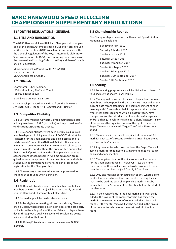# **BARC HAREWOOD SPEED HILLCLIMB CHAMPIONSHIP SUPPLEMENTARY REGULATIONS**

#### **1 SPORTING REGULATIONS - GENERAL**

#### **1.1 TITLE AND JURISDICTION**

The BARC Harewood Speed Hillclimb Championship is organised by the British Automobile Racing Club Ltd (Yorkshire Cenre) (here referred to as BARC Yorkshire) in accordance with the General Regulations of the Royal Automobile Club Motor Sports Association Ltd (MSA) (incorporating the provisions of the International Sporting Code of the FIA) and these Championship Regulations.

MSA Championship Permit No: CH2017/S048 Status: National B MSA Championship Grade C

#### **1.2 Officials**

Coordinator—Chris Seaman, 193 London Road, Sheffield, S2 4LJ Tel: 0114 2585695 (w)

Eligibility Scrutineer - P S Bruce

Championship Stewards—any three from the following:- J M English, R G Hooper, A J Hodgetts and H Tinkler.

#### **1.3 Competitor Eligibility**

1.3.1 Entrants must be fully paid up valid membership card holding members of BARC (Yorkshire) and in possession of a valid current MSA Entrants Licence.

1.3.2 Driver and Entrant/Drivers must be fully paid up valid membership card holding members of BARC (Yorkshire), be registered for the Championship and be in possession of a valid current Competition (National B) Status Licence, as a minimum. A competitor shall not take time off school to participate in motor sport without the prior written approval of their school. If participation in the Championship requires absence from school, Drivers in full time education are required to have the approval of their head teacher and a letter stating such approval from his/her school in order to fulfil registration for the Championship.

1.3.3 All necessary documentation must be presented for checking at all rounds when signing on.

#### **1.4 Registration**

1.4.1 All Driver/Entrants who are membership card holding members of BARC (Yorkshire) will be automatically entered into the Harewood Championship. Entry is free

1.4.2 No markings will be made retrospectively.

1.4.3 To be eligible for marking all cars must display Championship Decals, where supplied, on both sides of the car clearly visible from the side profile of the car. Failure to display these decals throughout a qualifying event will result in no points being credited for that event.

1.4.4 All Driver/Entrants must enter the events as BARC (Y) member.

#### **1.5 Championship Rounds**

The Championship is based on the Harewood Speed Hillclimb Meetings to be held on:

> Sunday 9th April 2017 Saturday 6th May 2017 Sunday 4th June 2017 Saturday 1st July 2017 Saturday 5th August 2017 Sunday 6th August 2017 Sunday 27th August 2017 Saturday 16th September 2017 Sunday 17th September 2017

#### **1.6 Scoring**

1.6.1 For marking purposes cars will be divided into classes 1A to 5E inclusive as shown in Schedule 5.

1.6.2 Marking will be within classes on a Bogey Time improvement basis. Where possible the 2017 Bogey Times will be the current class record standing at the commencement of each meeting with 20 seconds added. Exceptions to this may be where technical regulations within a class/category have changed and/or the introduction of new classes/categories and/or a change in vehicles eligible for a class/category, in any of these cases the organisers reserve the right to base the Bogey Time on a calculated "Target Time" with 20 seconds added.

1.6.3 Championship marks will be gained at the rate of .01 mark for each .01 of a second by which a driver beats the Bogey Time for his/her class.

1.6.4 Any competitor who does not beat the Bogey Time will gain no marks for that meeting. A maximum of 21 marks can be gained at any meeting.

1.6.5 Marks gained in six of the nine rounds will be counted for the Championship results. However if less than nine rounds are run there will always be two less rounds to count than the total number run (ie 6 from 8, 5 from 7 etc).

1.6.6 Only one marking per meeting can count. Where a competitor has entered more than one car at a meeting the car that is to be credited with Championship marks, must be nominated to the Secretary of the Meeting before the start of the class runs.

1.6.7 In the event of a tie in the final marking this will be decided in the favour of the competitor who has gained the marks in the fewest number of rounds including discarded rounds. If the tie still remains it will be decided in the favour of the competitor who scores the most marks in the final round.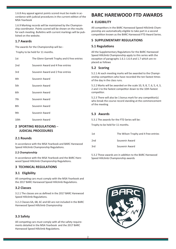1.6.8 Any appeal against points scored must be made in accordance with judicial procedures in the current edition of the MSA Yearbook

1.6.9 Marking records will be maintained by the Championship coordinator. Points scored will be shown on the results for each meeting. Bulletins with current markings will be published on the website.

#### **1.7 Awards**

The awards for the Championship will be:-

Trophy to be held for 11 months.

| 2 SPORTING REGULATIONS -<br><b>JUDICIAL PROCEDURES</b> |                                             |  |
|--------------------------------------------------------|---------------------------------------------|--|
| 10th                                                   | Souvenir Award                              |  |
| 9th                                                    | Souvenir Award                              |  |
| 8th                                                    | Souvenir Award                              |  |
| 7th                                                    | Souvenir Award                              |  |
| 6th                                                    | Souvenir Award                              |  |
| 5th                                                    | Souvenir Award                              |  |
| 4th                                                    | Souvenir Award                              |  |
| 3rd                                                    | Souvenir Award and 2 free entries           |  |
| 2nd                                                    | Souvenir Award and 4 free entries           |  |
| 1st                                                    | The Glenn Garnett Trophy and 6 free entries |  |

#### **2.1 Rounds**

In accordance with the MSA Yearbook and BARC Harewood Speed Hillclimb Championship Regulations.

#### **2.2 Championship**

In accordance with the MSA Yearbook and the BARC Harewood Speed Hillclimb Championship Regulations.

#### **3 TECHNICAL REGULATIONS**

#### **3.1 Eligibility**

All competing cars must comply with the MSA Yearbook and the 2017 BARC Harewood Speed Hillclimb Regulations.

#### **3.2 Classes**

3.2.1 The classes are as defined in the 2017 BARC Harewood Speed Hillclimb Regulations.

3.2.2 Classes 6A, 6B, 6C and 6D are not included in the BARC Harewood Speed Hillclimb Championship

## **3.3 Safety**

All competing cars must comply with all the safety requirements detailed in the MSA Yearbook and the 2017 BARC Harewood Speed Hillclimb Regulations.

# **BARC HAREWOOD FTD AWARDS**

#### **4 ELIGIBILITY**

All competitors in the BARC Harewood Speed Hillclimb Championship are automatically eligible to take part in a second competition known as the BARC Harewood FTD Award Series.

#### **5 SUPPLEMENTARY REGULATIONS**

#### **5.1 Regulations**

All the Supplementary Regulations for the BARC Harewood Speed Hillclimb Championship apply to this series with the exception of paragraphs 1.6.1-1.6.4 and 1.7 which are replaced as follows

#### **5.2 Scoring**

5.2.1 At each meeting marks will be awarded to the Championship competitors who have recorded the ten fastest times of the day in the class runs.

5.2.2 Marks will be awarded on the scale 10, 9, 8, 7, 6, 5, 4, 3, 2 and 1 to the fastest competitor down to the 10th fastest competitor.

5.2.3 There will also be 1 bonus mark for any competitor(s) who break the course record standing at the commencement of the meeting

#### **5.3 Awards**

5.3.1 The awards for the FTD Series will be:

Trophy to be held for 11 months.

| 1st             | The Wilson Trophy and 4 free entries |
|-----------------|--------------------------------------|
| 2 <sub>nd</sub> | Souvenir Award                       |
| 3rd             | Souvenir Award                       |

5.3.2 These awards are in addition to the BARC Harewood Speed Hillclimb Championship awards

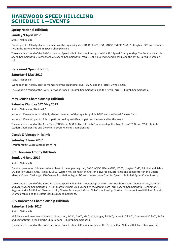# **HAREWOOD SPEED HILLCLIMB SCHEDULE 1—EVENTS**

## **Spring National Hillclimb**

#### **Sunday 9 April 2017**

Status: National B.

Event open to: All fully elected members of the organising club, BARC, ANCC, HSA, MGCC, TVRCC, MAC, Nottingham SCC and competitors in the Service Hydraulics Speed Championship .

The event is a round of the BARC Harewood Speed Hillclimb Championship, the HSA SBD Speed Championship, The Service Hydraulics Speed Championship , Nottingham SCC Speed Championship, MGCC Luffield Speed Championship and the TVRCC Speed Championship.

#### **Harewood Open Hillclimb**

#### **Saturday 6 May 2017**

Status: National B

Event open to: All fully elected members of the organising club, BARC, and the Ferrari Owners Club.

The event is a round of the BARC Harewood Speed Hillclimb Championship and the Pirelli Ferrari Hillclimb Championship.

## **May British Championship Hillclimb**

#### **Saturday/Sunday 6/7 May 2017**

Status: National A / National B

National 'B' event open to all fully elected members of the organising club, BARC and the Ferrari Owners Club.

National 'A' event open to: All competitors holding an MSA competition licence valid for the event.

The event is a round of the Avon Tyres/TTC Group MSA British Hillclimb Championship, the Avon Tyres/TTC Group MSA Hillclimb Leaders Championship and the Pirelli Ferrari Hillclimb Championship.

#### **Classic & Vintage Hillclimb**

#### **Saturday 3 June 2017**

For Regs contact Jackie Wilson or see on-line

#### **Jim Thomson Trophy Hillclimb**

#### **Sunday 4 June 2017**

#### Status: National B

Event is open to: All fully elected members of the organising club, BARC, ANCC, HSA, AMOC, MSCC, Longton DMC, Scimitar and Sabre OC, Bentley Drivers Club, Hagley & DLCC, Wigton MC, TR Register, Chester & Liverpool Motor Club and competitors in the Classic Marques Speed Challenge, 500 Owners Association, Jaguar DC and the Northern Counties Speed Hillclimb & Sprint Championship .

The event is a round of the BARC Harewood Speed Hillclimb Championship, Longton DMC Northern Speed Championship, Scimitar and Sabre Speed Championship, Aston Martin Owners Club Speed Series, Morgan Parc Ferme Speed Championship, Remington/TR Register Sprint & Hillclimb Championship, Chester & Liverpool Motor Club Championship, Northern Counties Speed Hillclimb & Sprint Championship, and the Classic Marques Speed Challenge.

## **July Harewood Championship Hillclimb**

#### **Saturday 1 July 2017**

#### Status: National B

All fully elected members of the organising club, BARC, ANCC, MAC, HSA, Hagley & DLCC, Jersey MC & LCC, Guernsey MC & CC, PCGB and competitors in the Porsche Club National Hillclimb Championship.

1

The event is a round of the BARC Harewood Speed Hillclimb Championship and the Porsche Club National Hillclimb Championship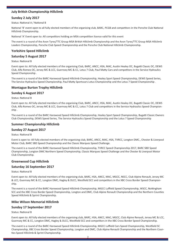## **July British Championship Hillclimb**

#### **Sunday 2 July 2017**

Status: National A / National B

National 'B' event open to all fully elected members of the organising club, BARC, PCGB and competitors in the Porsche Club National Hillclimb Championship.

National 'A' Event open to: All competitors holding an MSA competition licence valid for this event

The event is a round of the Avon Tyres/TTC Group MSA British Hillclimb Championship and the Avon Tyres/TTC Group MSA Hillclimb Leaders Championship, Porsche Club Speed Championship and the Porsche Club National Hillclimb Championship.

#### **Yorkshire Speed Hillclimb**

#### **Saturday 5 August 2017**

Status: National B

Event open to: All fully elected members of the organising Club, BARC, ANCC, HSA, MAC, Austin Healey OC, Bugatti Classic OC, DEWS Club, Alfa Romeo OC, Jersey MC & LCC, Guernsey MC & CC, Lotus 7 Club, Paul Matty Cars and competitors in the Service Hydraulics Speed Championship .

The event is a round of the BARC Harewood Speed Hillclimb Championship, Healey Sport Speed Championship, DEWS Speed Series, The Service Hydraulics Speed Championship, Paul Matty Sportscars Lotus Championship and the Lotus 7 Speed Championship .

#### **Montague Burton Trophy Hillclimb**

#### **Sunday 6 August 2017**

Status: National B

Event open to: All fully elected members of the organising Club, BARC, ANCC, HSA, MAC, Austin Healey OC, Bugatti Classic OC, DEWS Club, Alfa Romeo OC, Jersey MC & LCC, Guernsey MC & CC, Lotus 7 Club and competitors in the Service Hydraulics Speed Championship .

The event is a round of the BARC Harewood Speed Hillclimb Championship, Healey Sport Speed Championship, Bugatti Classic Owners Club Championship, DEWS Speed Series, The Service Hydraulics Speed Championship and the Lotus 7 Speed Championship

#### **Summer Championship Hillclimb**

#### **Sunday 27 August 2017**

Status: National B

Event is open to: All fully elected members of the organising club, BARC, ANCC, MAC, HSA, TVRCC, Longton DMC., Chester & Liverpool Motor Club, BARC SBD Speed Championship and the Classic Marques Speed Challenge.

The event is a round of the BARC Harewood Speed Hillclimb Championship, TVRCC Speed Championship 2017, BARC SBD Speed Championship, Longton DMC Northern Speed Championship, Classic Marques Speed Challenge and the Chester & Liverpool Motor Club Championship.

#### **Greenwood Cup Hillclimb**

#### **Saturday 16 September 2017**

Status: National B

Event open to: All fully elected members of the organising club, BARC, HSA, ANCC, MAC, MGCC, NSCC, Club Alpine Renault, Jersey MC & LCC, Guernsey MC & CC, Longton DMC, Hagley & DLCC, Westfield SCC and competitors in the XBC Cross Border Speed Championship.

The event is a round of the BARC Harewood Speed Hillclimb Championship, MGCC Luffield Speed Championship, WSCC, Nottingham SCC and the XBC Cross Border Speed Championship, Longton and DMC, Club Alpine Renault Championship and the Northern Counties Speed Hillclimb & Sprint Championship.

#### **Mike Wilson Memorial Hillclimb**

#### **Sunday 17 September 2017**

Status: National B

Event open to: All fully elected members of the organising club, BARC, HSA, ANCC, MAC, MGCC, Club Alpine Renault, Jersey MC & LCC, Guernsey MC & CC, Longton DMC, Hagley & DLCC, Westfield SCC and competitors in the XBC Cross Border Speed Championship.

The event is a round of the BARC Harewood Speed Hillclimb Championship, MGCC Luffield Cars Speed Championship, Westfield SC Championship, XBC Cross Border Speed Championship, Longton and DMC, Club Alpine Renault Championship and the Northern Coun ties Speed Hillclimb & Sprint Championship.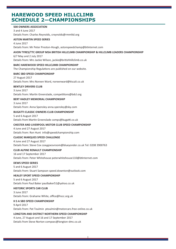# **HAREWOOD SPEED HILLCLIMB SCHEDULE 2—CHAMPIONSHIPS**

#### **500 OWNERS ASSOCIATION**

3 and 4 June 2017 Details from: Charles Reynolds, creynolds@rmmltd.org

#### **ASTON MARTIN SPEED SERIES**

4 June 2017 Details from: Mr Peter Preston-Hough, astonspeedchamp@btinternet.com

#### **AVON TYRES/TTC GROUP MSA BRITISH HILLCLIMB CHAMPIONSHIP & HILLCLIMB LEADERS CHAMPIONSHIP**

6/7 May and 2 July 2017 Details from: Mrs Jackie Wilson, jackie@britishhillclimb.co.uk

#### **BARC HAREWOOD SPEED HILLCLIMB CHAMPIONSHIP**

The Championship Regulations are published on our website.

#### **BARC SBD SPEED CHAMPIONSHIP**

27 August 2017 Details from: Mrs Noreen Ward, noreenward@tiscali.co.uk

#### **BENTLEY DRIVERS CLUB**

3 June 2017 Details from: Martin Greenslade, competitions@bdcl.org

#### **BERT HADLEY MEMORIAL CHAMPIONSHIP**

3 June 2017 Details from: Anna Spensley anna.spensley@sky.com

#### **BUGATTI CLASSIC OWNERS CLUB CHAMPIONSHIP**

5 and 6 August 2017 Details from Martin Greenslade comps@bugatti.co.uk

#### **CHESTER AND LIVERPOOL MOTOR CLUB SPEED CHAMPIONSHIP**

4 June and 27 August 2017 Details from: Ron Hunt info@speedchampionship.com

#### **CLASSIC MARQUES SPEED CHALLENGE**

4 June and 27 August 2017 Details from: Steve Cox coxygoesvroom@blueyonder.co.uk Tel: 0208 3900763

#### **CLUB ALPINE RENAULT CHAMPIONSHIP**

16 and 17 September 2017 Details from: Peter Whitehouse peterwhitehouse110@btinternet.com

#### **DEWS SPEED SERIES**

5 and 6 August 2017 Details from: Stuart Sampson speed.downton@outlook.com

#### **HEALEY SPORT SPEED CHAMPIONSHIP**

5 and 6 August 2017 Details from Paul Baker paulbaker51@yahoo.co.uk

#### **HISTORIC SPORTS CAR CLUB**

3 June 2017 Details from: Grahame White, office@hscc.org.uk

#### **H S A SBD SPEED CHAMPIONSHIP**

9 April 2017 Details from: Pat Toulmin ptoulmin@motorcars.free-online.co.uk

#### **LONGTON AND DISTRICT NORTHERN SPEED CHAMPIONSHIP**

4 June, 27 August and 16 and 17 September 2017 Details from Steve Norton compsec@longton-dmc.co.uk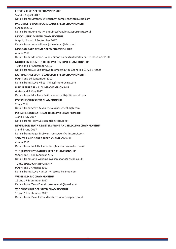#### **LOTUS 7 CLUB SPEED CHAMPIONSHIP**

5 and 6 August 2017

Details from: Matthew Willoughby comp.sec@lotus7club.com

#### **PAUL MATTY SPORTSCARS LOTUS SPEED CHAMPIONSHIP**

5 August 2017 Details from: June Matty enquiries@paulmattysportscars.co.uk

#### **MGCC LUFFIELD SPEED CHAMPIONSHIP**

9 April, 16 and 17 September 2017 Details from: John Wilman johnwilman@cbits.net

#### **MORGAN PARC FERME SPEED CHAMPIONSHIP**

4 June 2017 Details from: Mr Simon Baines simon baines@ntlworld.com Te: 0161 4277150

#### **NORTHERN COUNTIES HILLCLIMB & SPRINT CHAMPIONSHIP**

4 June and 17 September 2017 Details from: Sue Micklethwaite office@auto66.com Tel: 01723 373000

#### **NOTTINGHAM SPORTS CAR CLUB SPEED CHAMPIONSHIP**

9 April and 16 September 2017 Details from: Steve Miles smiles@moleracing.com

## **PIRELLI FERRARI HILLCLIMB CHAMPIONSHIP**

6 May and 7 May 2017 Details from: Mrs Anne Swift annemswift@btinternet.com

#### **PORSCHE CLUB SPEED CHAMPIONSHIP**

2 July 2017 Details from: Steve Kevlin steve@porscheclubgb.com

#### **PORSCHE CLUB NATIONAL HILLCLIMB CHAMPIONSHIP**

1 and 2 July 2017 Details from: Terry Davison trd@stoic.co.uk

#### **REVINGTON TR/TR REGISTER SPRINT AND HILLCLIMB CHAMPIONSHIP**

#### 3 and 4 June 2017 Details from: Roger McEwen rcmcewen@btinternet.com

#### **SCIMITAR AND SABRE SPEED CHAMPIONSHIP**

4 June 2017 Details from: Nick Hall member@nickhall.wanadoo.co.uk

#### **THE SERVICE HYDRAULICS SPEED CHAMPIONSHIP**

9 April and 5 and 6 August 2017 Details from: John Williams jwilliamsdono@tiscali.co.uk

#### **TVRCC SPEED CHAMPIONSHIP**

9 April and 27 August 2017 Details from: Steve Hunter tvrjosteve@yahoo.com

#### **WESTFIELD SCC CHAMPIONSHIP**

16 and 17 September 2017 Details from: Terry Everall terry.everall@gmail.com

#### **XBC CROSS BORDER SPEED CHAMPIONSHIP**

16 and 17 September 2017 Details from: Dave Exton dave@crossborderspeed.co.uk

2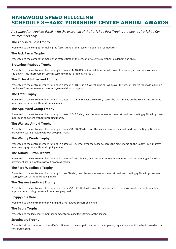# **HAREWOOD SPEED HILLCLIMB SCHEDULE 3—BARC YORKSHIRE CENTRE ANNUAL AWARDS**

All competitor trophies listed, with the exception of the Yorkshire Post Trophy, are open to Yorkshire Cen*tre members only.*

#### **The Yorkshire Post Trophy**

Presented to the competitor making the fastest time of the season - open to all competitors

#### **The Jack Farrar Trophy**

Presented to the competitor making the fastest time of the season by a centre member Resident in Yorkshire

#### **Brownlow Peabody Trophy**

Presented to the centre member running in classes 1A- 1B-1C in a 2 wheel drive car who, over the season, scores the most marks on the Bogey Time improvement scoring system without dropping marks. .

#### **The Richard Sutherland Trophy**

Presented to the centre member running in classes 1A- 1B 1D in a 4 wheel drive car who, over the season, scores the most marks on the Bogey Time improvement scoring system without dropping marks.

#### **The Total Trophy**

Presented to the centre member running in classes 2A-2B who, over the season, scores the most marks on the Bogey Time improvement scoring system without dropping marks.

#### **The Appleyard Group Trophy**

Presented to the centre member running in classes 2D- 2E who, over the season, scores the most marks on the Bogey Time improvement scoring system without dropping marks.

#### **The Wallace Arnold Trophy**

Presented to the centre member running in classes 3A- 3B-3C who, over the season, scores the most marks on the Bogey Time improvement scoring system without dropping marks.

#### **The Wendy Wools Trophy**

Presented to the centre member running in classes 3F-3G who, over the season, scores the most marks on the Bogey Time improvement scoring system without dropping marks. .

#### **The Arnold Burton Trophy**

Presented to the centre member running in classes 4A and 4B who, over the season, scores the most marks on the Bogey Time improvement scoring system without dropping marks.

#### **The Ford Woodhead Trophy**

Presented to the centre member running in class 5B who, over the season, scores the most marks on the Bogey Time improvement scoring system without dropping marks.

#### **The Guyson Sandblast Trophy**

Presented to the centre member running in classes 5A- 5C-5D-5E who, over the season, scores the most marks on the Bogey Time improvement scoring system without dropping marks.

#### **Chippy-Iola Vase**

Presented to the centre member winning the 'Harewood Seniors challenge'

#### **The Babra Trophy**

Presented to the lady centre member competitor making fastest time of the season

#### **Scrutineers Trophy**

Presented at the discretion of the MSA Scrutineers to the competitor who, in their opinion, regularly presents the best turned out car for scrutineering.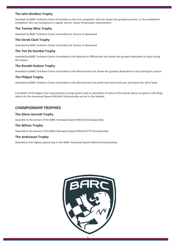#### **The John Bindloss Trophy**

Awarded by BARC Yorkshire Centre Committee to the new competitor who has shown the greatest promise, or the established competitor who not having been a regular winner, shows the greatest improvement.

#### **The Tommy Wise Trophy**

Awarded by BARC Yorkshire Centre Committee for Service to Harewood

#### **The Derek Clark Trophy**

Awarded by BARC Yorkshire Centre Committee for Service to Harewood

#### **The Tim De Dombal Trophy**

Awarded by BARC Yorkshire Centre Committee to the Marshal or Official who has shown the greatest dedication to duty during the season.

#### **The Ronald Hudson Trophy**

Awarded by BARC Yorkshire Centre Committee to the Marshal who has shown the greatest dedication to duty during the season.

#### **The Philpot Trophy**

Awarded by BARC Yorkshire Centre Committee to the Marshal who has performed some task over and above the call of duty.

Full details of the Bogey Time improvement scoring system used in calculation of some of the awards above are given in the Regulations for the Harewood Speed Hillclimb Championship set out in this booklet.

## **CHAMPIONSHIP TROPHIES**

#### **The Glenn Garnett Trophy**

Awarded to the winner of the BARC Harewood Speed Hillclimb Championship

#### **The Wilson Trophy**

Awarded to the winner of the BARC Harewood Speed Hillclimb FTD Championship

#### **The Andreason Trophy**

Awarded to the highest placed lady in the BARC Harewood Speed Hillclimb Championship

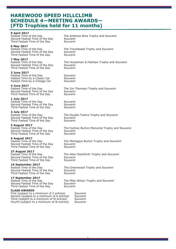# **HAREWOOD SPEED HILLCLIMB SCHEDULE 4—MEETING AWARDS— (FTD Trophies held for 11 months)**

**9 April 2017**<br>Fastest Time of the Day Second Fastest Time of the Day Souvenir<br>Third Fastest Time of the Day Souvenir Third Fastest Time of the Day

**6 May 2017**<br>Fastest Time of the Day Second Fastest Time of the Day Souvenir<br>Third Fastest Time of the Day Souvenir Third Fastest Time of the Day

**7 May 2017** Second Fastest Time of the Day Souvenir<br>Third Fastest Time of the Day Souvenir Third Fastest Time of the Day

#### **3 June 2017**

Fastest Time of the Day<br>Fastest Time by a Classic Car Souvenir Fastest Time by a Classic Car Fastest Time by a Vintage Car Souvenir

**4 June 2017** Second Fastest Time of the Day Souvenir Third Fastest Time of the Day Souvenir

#### **1 July 2017**

Fastest Time of the Day Souvenir<br>Second Fastest Time of the Day Souvenir Second Fastest Time of the Day Third Fastest Time of the Day Souvenir

**2 July 2017** Second Fastest Time of the Day Souvenir<br>Third Fastest Time of the Day Souvenir Third Fastest Time of the Day

**5 August 2017**<br>Fastest Time of the Day Second Fastest Time of the Day Souvenir<br>Third Fastest Time of the Day Souvenir Third Fastest Time of the Day

#### **6 August 2017**

Fastest Time of the Day The Mont<br>Second Fastest Time of the Day Souvenir<br>Third Fastest Time of the Day Souvenir Third Fastest Time of the Day

#### **27 August 2017**

Fastest Time of the Day The Allan<br>Second Fastest Time of the Day Souvenir<br>Third Fastest Time of the Day Souvenir Third Fastest Time of the Day

**16 September 2017** Second Fastest Time of the Day Souvenir<br>Third Fastest Time of the Day Souvenir Third Fastest Time of the Day

# **17 September 2017**

Second Fastest Time of the Day Souvenir<br>Third Fastest Time of the Day Souvenir Third Fastest Time of the Day

#### **CLASS AWARDS**

First (subject to a minimum of 2 entries) Souvenir<br>Second (subject to a minimum of 6 entries) Souvenir Second (subject to a minimum of 6 entries) Souvenir<br>Third (subject to a minimum of l0 entries) Souvenir Third (subject to a minimum of I0 entries) Souvenir<br>Fourth (subject to a minimum of I6 entries) Souvenir Fourth (subject to a minimum of I6 entries)

The Andrews Bros Trophy and Souvenir<br>Souvenir

The Travelleads Trophy and Souvenir

The Houseman & Falshaw Trophy and Souvenir

The Jim Thomson Trophy and Souvenir

The Double Twelve Trophy and Souvenir<br>Souvenir

The Sydney Burton Memorial Trophy and Souvenir<br>Souvenir

The Montague Burton Trophy and Souvenir

The Allan Staniforth Trophy and Souvenir<br>Souvenir

The Greenwood Trophy and Souvenir<br>Souvenir

The Mike Wilson Trophy and Souvenir<br>Souvenir

 $\overline{1}$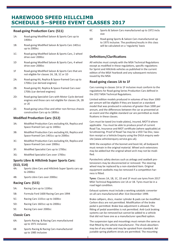# **HAREWOOD SPEED HILLCLIMB SCHEDULE 5—SPEED EVENT CLASSES 2017**

#### **Road-going Production Cars: (S11)**

- 1A: Road-going Modified Saloon & Sports Cars up to 1400cc
- 1B: Road-going Modified Saloon & Sports Cars 1401cc up to 2000cc
- 1C: Road-going Modified Saloon & Sports Cars, 2 wheel drive over 2000cc
- 1D Road-going Modified Saloon & Sports Cars, 4 wheel drive over 2000cc
- 1F Road-going Modified Saloon & Sports Cars that are not eligible for classes 1A, 1B, 1C or 1D
- 2A: Road-going Kit, Replica & Space-framed Cars up to 1700cc (car derived engines)
- 2B: Road-going Kit, Replica & Space-framed Cars over 1700c (car derived engines)
- 2D: Road-going Specialist Cars with Motor Cycle derived engines and those cars not eligible for classes 2A, 2B or 2E
- 2E: Road-going Lotus Elise and other non-ferrous chassis construction Cars up to 1800cc

#### **Modified Production Cars: (S12)**

- 3A: Modified Production Cars excluding Kit, Replica and Space-framed Cars up to 1400cc
- 3B: Modified Production Cars excluding Kit, Replica and Space-framed Cars 1401cc up to 2000cc
- 3C: Modified Production Cars excluding Kit, Replica and Space-framed Cars over 2000cc
- 3F: Modified Specialist Cars up to 1700cc
- 3G: Modified Specialist Cars over 1700cc

#### **Sports Libre & Hillclimb Super Sports Cars: (S13, S14)**

- 4A: Sports Libre Cars and Hillclimb Super Sports cars up to 2000cc
- 4B: Sports Libre Cars over 2000cc

#### **Racing Cars: (S15)**

- 5A: Racing Cars up to 1100cc
- 5B: Formula Ford 1600 Racing Cars pre 1994
- 5C: Racing Cars 1101cc up to 1600cc
- 5D: Racing Cars 1601cc up to 2000cc
- 5E: Racing Cars over 2000cc

#### **Classic Cars**

- 6A: Sports Racing & Racing Cars manufactured up to 1971 inclusive
- 6B Sports Racing & Racing Cars manufactured up to 1985 inclusive
- 6C Sports & Saloon Cars manufactured up to 1972 inclu sive
- 6D Road-going Sports & Saloon Cars manufactured up to 1975 inclusive. The positions/results in this class will be calculated on a 'regularity' basis

#### **Definitions/Clarifications**

All vehicles must comply with the MSA Technical Regulations except as modified in these regulations, specific regulations for Sprint and Hillclimb vehicles as published in the current edition of the MSA Yearbook and any subsequent revisions issued by the MSA

#### **Road-going classes 1A to 1F**

Cars running in classes 1A to 1F inclusive must conform to the regulations for Road-going Series Production Cars defined in the 2017 MSA Technical Regulations.

Limited edition models produced in volumes of less than 1000 per annum will be eligible if they are based on a standard model that was produced in volumes of greater than 1000 per annum, and the differences between the car as presented at an event and the eligible standard car are permitted as modifications in these classes.

Cars must be taxed (no trade plates), insured, MOT'd where applicable . You must be able to produce proof of current Road Tax, Insurance and MOT certificate (where applicable) at Scrutineering. Proof of Road Tax may be a VED Tax Disc, taxation receipt or a Vehicle Enquiry using the DVLA enquiry website (www.vehicleenquiry.service.gov.uk).

With the exception of the bonnet and boot-lid, all bodywork must remain in the original material. Wheel arch extensions may be added but the original wheel arch may not be modified.

Pyrotechnic safety devices such as airbags and seatbelt pretensioners may be disconnected or removed. The steering wheel may be replaced by a non-standard item. Original equipment seatbelts may be removed if a competition harness is fitted.

**Tyres**: Classes 1A, 1B, 1C, 1D and 1F must use tyres from 2017 MSA Technical Regulations List 1A or 1B. Tyres must be in a road legal condition.

Exhaust systems must include a working catalytic converter on all cars manufactured after 31st December 1999.

Brake callipers, discs, master cylinder & pads can be modified. Carbon discs are not permitted. Modification of the brake pedal is permitted. Brake bias adjustment is allowed. The fitting of pedal assemblies is not permitted. Anti-Lock braking systems can be removed but cannot be added to a vehicle that did not have one as a manufacturer specified option.

The suspension type and mountings must remain the same as that fitted by the vehicle manufacturer. The shock absorbers may be of any make and may be uprated from standard. Adjustable spring platform struts are permitted. The mounting

1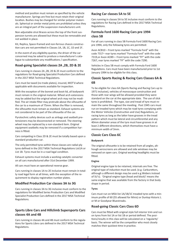method and position must remain as specified by the vehicle manufacturer. Springs are free but must retain their original location. Bushes may be changed for similar polymer materials. Spherical or similar metal joints are prohibited unless they are an integral part of the suspension manufacturers unit.

Non adjustable strut Braces across the top of the front suspension turrets are allowed but these must be removable and not welded in place.

Kit, Replica, Space-framed and non-ferrous chassis construc tion cars are not permitted in Classes 1A, 1B, 1C, 1D and 1F.

In the event of any eligibility queries, the driver of the car concerned may be asked to produce a manufacturer's catalogue to substantiate any modifications / specification.

#### **Road-going Specialist classes 2A ,2B, 2D & 2E**

Cars running in classes 2A ,2B, 2D & 2E must conform to the regulations for Road-going Specialist Production Cars defined in the 2017 MSA Technical Regulations.

Cars must be taxed (no trade plates), insured, MOT'd where applicable with documents available for inspection.

With the exception of the bonnet and boot-lid, all bodywork must remain in the original material. Wheel arch extensions may be added but the original wheel arch may not be modified. The air intake filter may protrude above the silhouette of the car to a maximum of 75mm. When the filter is removed, the silhouette must remain as standard. Exhaust systems are not considered to be part of the silhouette of the car.

Pyrotechnic safety devices such as airbags and seatbelt pretensioners may be disconnected or removed. The steering wheel may be replaced by a non-standard item. Original equipment seatbelts may be removed if a competition harness is fitted.

Cars competing in Class 2D & 2E must be totally based upon a standard production car.

The only permitted tyres within these classes are radial-ply tyres defined in the 2017 MSA Technical Regulations List1A or List 1B. Tyres must be in a road legal condition.

Exhaust systems must include a working catalytic converter on all cars manufactured after 31st December 1999.

All cars must have an operational reverse gear.

Cars running in classes 1A to 2E inclusive must remain in totally road legal form at all times, with the exception of the requirement to display registration number plates.

#### **Modified Production Car classes 3A to 3G**

Cars running in classes 3A to 3G inclusive must conform to the regulations for Modified Series Production Cars and Modified Specialist Production Cars defined in the 2017 MSA Technical Regulations.

## **Sports Libre Cars and Hillclimb Supersports Cars classes 4A and 4B**

Cars running in classes 4A and 4B must conform to the regula tions for Sports Libre cars defined in the 2017 MSA Technical Regulations.

#### **Racing Car classes 5A to 5E**

Cars running in classes 5A to 5E inclusive must conform to the regulations for Racing Cars defined in the 2017 MSA Technical Regulations.

#### **Formula Ford 1600 Racing Cars pre 1994 class 5B**

For all cars running in class 5B Formula Ford 1600 Racing Cars pre 1994, only the following tyres are permitted:

Avon ACB10 – Front tyres marked "Formula Ford" with the code 7317– rear tyres marked "Formula Ford" with the code 7319,or Avon ACB9— Front tyres marked "FF" with the code 7267, rear tyres marked "FF" with the code 7290.

Vehicles in Class 5B must comply with Formula Ford 1600 Regulations. Cars must have been manufactured prior to 1st January 1994 to be eligible for this class.

#### **Classic Sports Racing & Racing Cars Classes 6A & 6B**

To be eligible for class 6A (Sports Racing and Racing Cars up to 1971 inclusive), vehicles of monocoque construction and those with rear wings will be allowed provided they were standard on the car at the appropriate date. The use of slick tyres is prohibited. The type, size and tread of tyre must remain the same throughout the meeting. Post 1945 cars must run on treaded tyres which may be road tyres complying with the Motor Vehicles (Construction and Use) Regulations, or racing tyres as long as the latter have grooves in the tread pattern which must be lateral and circumferential and any 40mm diameter areas of the tyre must have grooves in at least 2 different directions, which themselves must have a minimum width of 3mm.

#### **Classic Cars Class 6C**

#### **Bodywork**

The original silhouette is to be retained from all angles, although aeroscreens are allowed and side windows may be removed on open cars. Original working headlights must be fitted.

#### **Engine**

Original engine type to be retained, internals are free. The original type of induction must be used. (e.g. Carburettors, although a different design may be used e.g.Webers instead of SU's). 'Original engine type (head and block)' means the same engine that was available from the factory in that body shape in period.

#### **Tyres**

Cars must run on MSA list 1A/1B/1C treaded tyres with a minimum profile of 60 (55 allowed for Minis) or Dunlop Historic L or M or Goodyear Bluestreaks.

#### **Road-going Classic Cars Class 6D**

Cars must be fitted with original style full interior trim and run on tyres from list 1A or list 1B or period defined. The posi tions/results in this class will be calculated on a 'regularity' basis. The winner will be the competitor who most closely matches their quickest time in practice.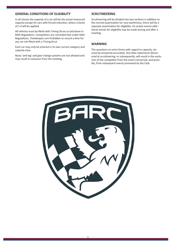#### **GENERAL CONDITIONS OF ELIGIBILITY**

In all classes the capacity of a car will be the actual measured capacity except for cars with forced induction, where a factor of 1.4 will be applied.

All vehicles must be fitted with Timing Struts as laid down in MSA Regulations. Competitors are reminded that under MSA Regulations, Timekeepers are forbidden to record a time for any car not fitted with a Timing Strut.

Each car may only be entered in its own correct category and capacity class.

Noisy 'anti lag' and gear change systems are not allowed and may result in exclusion from the meeting.

#### **SCRUTINEERING**

Scrutineering will be divided into two sections in addition to the normal examination for race worthiness, there will be a separate examination for eligibility. At certain events additional checks for eligibility may be made during and after a meeting.

#### **WARNING**

The questions on entry forms with regard to capacity, etc must be answered accurately. Any false statements discovered at scrutineering, or subsequently, will result in the exclusion of the competitor from the event concerned, and possibly, from subsequent events promoted by the Club.